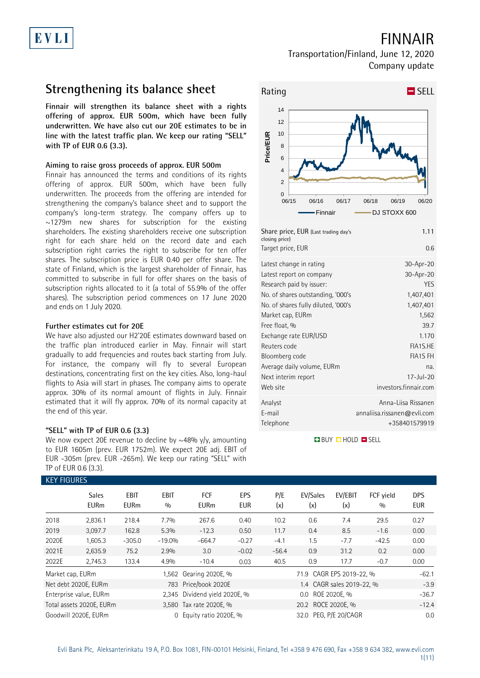# FINNAIR

### Transportation/Finland, June 12, 2020 Company update

## **Strengthening its balance sheet**

**Finnair will strengthen its balance sheet with a rights offering of approx. EUR 500m, which have been fully underwritten. We have also cut our 20E estimates to be in line with the latest traffic plan. We keep our rating "SELL" with TP of EUR 0.6 (3.3).**

### **Aiming to raise gross proceeds of approx. EUR 500m**

Finnair has announced the terms and conditions of its rights offering of approx. EUR 500m, which have been fully underwritten. The proceeds from the offering are intended for strengthening the company's balance sheet and to support the company's long-term strategy. The company offers up to  $\sim$ 1279m new shares for subscription for the existing shareholders. The existing shareholders receive one subscription right for each share held on the record date and each subscription right carries the right to subscribe for ten offer shares. The subscription price is EUR 0.40 per offer share. The state of Finland, which is the largest shareholder of Finnair, has committed to subscribe in full for offer shares on the basis of subscription rights allocated to it (a total of 55.9% of the offer shares). The subscription period commences on 17 June 2020 and ends on 1 July 2020.

### **Further estimates cut for 20E**

We have also adjusted our H2'20E estimates downward based on the traffic plan introduced earlier in May. Finnair will start gradually to add frequencies and routes back starting from July. For instance, the company will fly to several European destinations, concentrating first on the key cities. Also, long-haul flights to Asia will start in phases. The company aims to operate approx. 30% of its normal amount of flights in July. Finnair estimated that it will fly approx. 70% of its normal capacity at the end of this year.

### **"SELL" with TP of EUR 0.6 (3.3)**

We now expect 20E revenue to decline by  $\sim$ 48% y/y, amounting to EUR 1605m (prev. EUR 1752m). We expect 20E adj. EBIT of EUR -305m (prev. EUR -265m). We keep our rating "SELL" with TP of EUR 0.6 (3.3).



Analyst Anna-Liisa Rissanen E-mail annaliisa.rissanen@evli.com Telephone +358401579919

**BUY DHOLD SELL** 

|                                                           | <b>KEY FIGURES</b>                                  |                     |                    |                                          |                       |            |                           |                         |                  |                   |  |  |
|-----------------------------------------------------------|-----------------------------------------------------|---------------------|--------------------|------------------------------------------|-----------------------|------------|---------------------------|-------------------------|------------------|-------------------|--|--|
|                                                           | <b>Sales</b><br><b>EURm</b>                         | EBIT<br><b>EURm</b> | <b>EBIT</b><br>0/0 | <b>FCF</b><br><b>EURm</b>                | <b>EPS</b><br>EUR     | P/E<br>(x) | EV/Sales<br>(x)           | EV/EBIT<br>(x)          | FCF vield<br>0/0 | <b>DPS</b><br>EUR |  |  |
| 2018                                                      | 2,836.1                                             | 218.4               | 7.7%               | 267.6                                    | 0.40                  | 10.2       | 0.6                       | 7.4                     | 29.5             | 0.27              |  |  |
| 2019                                                      | 3,097.7                                             | 162.8               | 5.3%               | $-12.3$                                  | 0.50                  | 11.7       | 0.4                       | 8.5                     | $-1.6$           | 0.00              |  |  |
| 2020E                                                     | 1,605.3                                             | $-305.0$            | $-19.0%$           | $-664.7$                                 | $-0.27$               | $-4.1$     | 1.5                       | $-7.7$                  | $-42.5$          | 0.00              |  |  |
| 2021E                                                     | 2,635.9                                             | 75.2                | 2.9%               | 3.0                                      | $-0.02$               | $-56.4$    | 0.9                       | 31.2                    | 0.2              | 0.00              |  |  |
| 2022E                                                     | 2,745.3                                             | 133.4               | 4.9%               | $-10.4$                                  | 0.03                  | 40.5       | 0.9                       | 17.7                    | $-0.7$           | 0.00              |  |  |
| Market cap, EURm                                          |                                                     |                     |                    | 1,562 Gearing 2020E, %                   |                       |            | 71.9 CAGR EPS 2019-22, %  |                         |                  | $-62.1$           |  |  |
|                                                           | Net debt 2020E, EURm                                |                     | 783                | Price/book 2020E                         |                       |            | 1.4 CAGR sales 2019-22, % |                         |                  |                   |  |  |
| Enterprise value, EURm                                    |                                                     |                     |                    | 2,345 Dividend yield 2020E, %<br>$0.0\,$ |                       |            |                           | ROE 2020E, %<br>$-36.7$ |                  |                   |  |  |
|                                                           | Total assets 2020E, EURm<br>3,580 Tax rate 2020E, % |                     |                    |                                          | 20.2 ROCE 2020E, %    |            |                           |                         | $-12.4$          |                   |  |  |
| Goodwill 2020E, EURm<br>Equity ratio 2020E, %<br>$\Omega$ |                                                     |                     |                    |                                          | 32.0 PEG. P/E 20/CAGR |            |                           |                         | 0.0              |                   |  |  |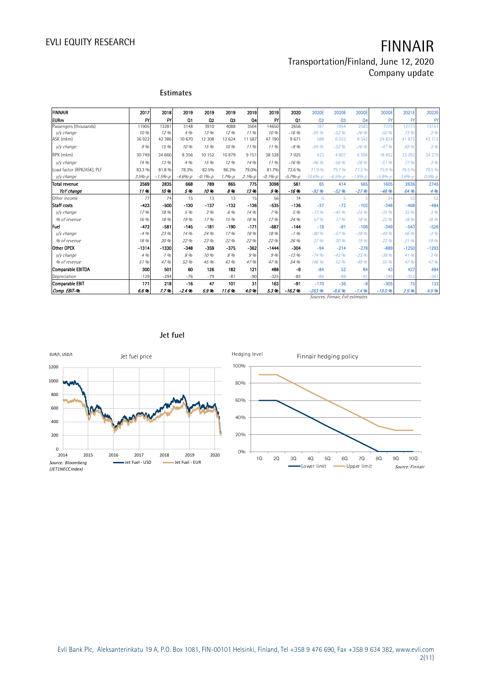# EVLI EQUITY RESEARCH **FINNAIR**

### Transportation/Finland, June 12, 2020 Company update

| FINNAIR                    | 2017         | 2018        | 2019           | 2019           | 2019       | 2019              | 2019        | 2020           | 2020E        | 2020E          | 2020E          | 2020E       | 2021E             | 2022E        |
|----------------------------|--------------|-------------|----------------|----------------|------------|-------------------|-------------|----------------|--------------|----------------|----------------|-------------|-------------------|--------------|
| <b>EURm</b>                | $\mathsf{f}$ | <b>FY</b>   | Q <sub>1</sub> | Q <sub>2</sub> | Q3         | Q4                | FY          | Q <sub>1</sub> | 02           | Q <sub>3</sub> | Q <sub>4</sub> | FY          | $\mathsf{F}$      | $\mathsf{F}$ |
| Passengers (thousands)     | 11905        | 13281       | 3148           | 3910           | 4088       | 3504              | 14650       | 2656           | 187          | 1954           | 2583           | 7379        | 12773             | 13151        |
| y/y change                 | 10 %         | 12%         | 4 %            | 13 %           | 12.96      | 1196              | 10 %        | $-16.96$       | $-95%$       | $-52.96$       | $-26.96$       | $-50%$      | 73 %              | 396          |
| ASK (mkm)                  | 36922        | 42 386      | 10 670         | 12 308         | 12 624     | 11 587            | 47 190      | 9671           | 588          | 6 0 3 3        | 8 5 4 2        | 24 8 34     | 41873             | 43 112       |
| v/y change                 | 9%           | 15 %        | 10 %           | 15 %           | 10.96      | 1196              | 1196        | $-9.96$        | $-95%$       | $-52.96$       | $-26.96$       | $-47.96$    | 69 %              | 396          |
| RPK (mkm)                  | 30 749       | 34 660      | 8 3 5 6        | 10 15 2        | 10879      | 9 1 5 1           | 38 538      | 7025           | 423          | 4 8 0 7        | 6 5 9 6        | 18852       | 33 29 2           | 34 279       |
| v/y change                 | 14 %         | 1.3%        | 4 %            | 15%            | 12.96      | 14.9 <sub>0</sub> | 1196        | $-16.9b$       | $-96%$       | $-56%$         | $-28.96$       | $-51.96$    | 77.9 <sub>h</sub> | 396          |
| Load factor (RPK/ASK), PLF | 83.3 %       | 81.8%       | 78.3%          | 82.5%          | 86.2%      | 79.0%             | 81.7%       | 72.6%          | 71.9%        | 79.7 %         | 77.2 %         | 75.9%       | 79.5 %            | 79.5 %       |
| y/y change                 | $3.5% - D$   | $-1.5% - p$ | $-4.6% - D$    | $-0.1% - p$    | $1.7% - D$ | $2.1%-p$          | $-0.1% - p$ | $-5.7% - D$    | $-10.6% - D$ | $-6.5% - D$    | $-1.896 - D$   | $-5.8% - p$ | $3.6% - D$        | $0.0% - h$   |
| Total revenue              | 2569         | 2835        | 668            | 789            | 865        | 775               | 3098        | 561            | 65           | 414            | 565            | 1605        | 2636              | 2745         |
| YoY change                 | 11%          | 10%         | 5%             | 10%            | 8%         | 13%               | 9%          | $-16.96$       | $-92.96$     | $-52.96$       | $-27.96$       | $-48.96$    | 64 %              | 4 %          |
| Other income               | 77           | 74          | 15             | 13             | 13         | 15                | 56          | 14             | $\mathbf{0}$ | 5              |                | 24          | 52                | 52           |
| Staff costs                | $-423$       | $-500$      | $-130$         | $-137$         | $-132$     | -136              | $-535$      | $-136$         | $-37$        | $-72$          | $-102$         | $-348$      | $-468$            | $-484$       |
| v/v change                 | 17.96        | 18 %        | 5 %            | 3 %            | 6 %        | 14 %              | 796         | 5 %            | $-73.96$     | $-45.96$       | $-25.96$       | $-35%$      | 35 %              | 396          |
| % of revenue               | 16 %         | 18 %        | 19%            | 17.96          | 15%        | 18%               | 17%         | 24 %           | 57 %         | 17.96          | 18 %           | 22 %        | 18%               | 18 %         |
| Fuel                       | $-472$       | $-581$      | $-145$         | $-181$         | $-190$     | $-171$            | $-687$      | $-144$         | $-18$        | $-81$          | $-106$         | $-349$      | $-543$            | $-526$       |
| v/v change                 | $-4.96$      | 23 %        | 14 %           | 24 %           | 17.96      | 18 %              | 18%         | $-1.96$        | $-90%$       | $-57.96$       | $-38.96$       | $-49.96$    | 56 %              | $-3.96$      |
| % of revenue               | 18 %         | 20 %        | 22 %           | 23 %           | 22 %       | 22 %              | 22 %        | 26 %           | 27%          | 20 %           | 19%            | 22 %        | 21.9 <sub>h</sub> | 19 %         |
| Other OPEX                 | $-1314$      | $-1330$     | $-348$         | $-359$         | $-375$     | $-362$            | $-1444$     | $-304$         | $-94$        | $-214$         | $-278$         | $-889$      | $-1250$           | $-1293$      |
| y/y change                 | 4 %          | 196         | 8 %            | 10 %           | 8%         | 9%                | 9%          | $-13.96$       | $-74.96$     | $-43.96$       | $-23.96$       | $-38.96$    | 41%               | 3 %          |
| % of revenue               | 51 %         | 47%         | 52 %           | 45 %           | 43 %       | 47%               | 47 %        | 54 %           | 146 %        | 52 %           | 49 %           | 55 %        | 47.96             | 47 %         |
| Comparable EBITDA          | 300          | 501         | 60             | 126            | 182        | 121               | 488         | -9             | $-84$        | 52             | 84             | 43          | 427               | 494          |
| Depreciation               | $-129$       | $-294$      | $-76$          | $-79$          | $-81$      | $-90$             | $-325$      | $-83$          | $-86$        | $-88$          | $-92$          | $-349$      | $-352$            | $-361$       |
| Comparable EBIT            | 171          | 218         | $-16$          | 47             | 101        | 31                | 163         | $-91$          | $-170$       | $-36$          | $-8$           | $-305$      | 75                | 133          |
| Comp. EBIT-%               | 6.6%         | 7.7%        | $-2.4%$        | 5.9%           | 11.6%      | 4.0%              | 5.3%        | $-16.2%$       | $-263%$      | $-8.6%$        | $-1.4%$        | $-19.0%$    | 2.9%              | 4.9%         |

Sources: Finnair, Evli estimates



### **Jet fuel**

**Estimates**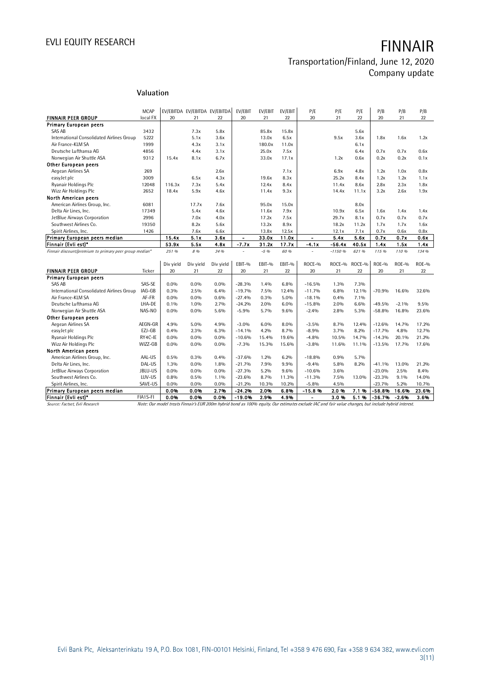### Transportation/Finland, June 12, 2020 Company update

### **Valuation**

|                                                        | <b>MCAP</b> |           |           | EV/EBITDA EV/EBITDA EV/EBITDA | EV/EBIT        | EV/EBIT | EV/EBIT | P/E            | P/E      | P/E    | P/B      | P/B          | P/B          |
|--------------------------------------------------------|-------------|-----------|-----------|-------------------------------|----------------|---------|---------|----------------|----------|--------|----------|--------------|--------------|
| <b>FINNAIR PEER GROUP</b>                              | local FX    | 20        | 21        | 22                            | 20             | 21      | 22      | 20             | 21       | 22     | 20       | 21           | 22           |
| <b>Primary European peers</b>                          |             |           |           |                               |                |         |         |                |          |        |          |              |              |
| SAS AB                                                 | 3432        |           | 7.3x      | 5.8x                          |                | 85.8x   | 15.8x   |                |          | 5.6x   |          |              |              |
| International Consolidated Airlines Group              | 5222        |           | 5.1x      | 3.6x                          |                | 13.0x   | 6.5x    |                | 9.5x     | 3.6x   | 1.8x     | 1.6x         | 1.2x         |
| Air France-KLM SA                                      | 1999        |           | 4.3x      | 3.1x                          |                | 180.0x  | 11.0x   |                |          | 6.1x   |          |              |              |
| Deutsche Lufthansa AG                                  | 4856        |           | 4.4x      | 3.1x                          |                | 25.0x   | 7.5x    |                |          | 6.4x   | 0.7x     | 0.7x         | 0.6x         |
| Norwegian Air Shuttle ASA                              | 9312        | 15.4x     | 8.1x      | 6.7x                          |                | 33.0x   | 17.1x   |                | 1.2x     | 0.6x   | 0.2x     | 0.2x         | 0.1x         |
| Other European peers                                   |             |           |           |                               |                |         |         |                |          |        |          |              |              |
| Aegean Airlines SA                                     | 269         |           |           | 2.6x                          |                |         | 7.1x    |                | 6.9x     | 4.8x   | 1.2x     | 1.0x         | 0.8x         |
| easyJet plc                                            | 3009        |           | 6.5x      | 4.3x                          |                | 19.6x   | 8.3x    |                | 25.2x    | 8.4x   | 1.2x     | 1.2x         | 1.1x         |
| Ryanair Holdings Plc                                   | 12048       | 116.3x    | 7.3x      | 5.4x                          |                | 12.4x   | 8.4x    |                | 11.4x    | 8.6x   | 2.8x     | 2.3x         | 1.8x         |
| Wizz Air Holdings Plc                                  | 2652        | 18.4x     | 5.9x      | 4.6x                          |                | 11.4x   | 9.3x    |                | 14.4x    | 11.1x  | 3.2x     | 2.6x         | 1.9x         |
| North American peers                                   |             |           |           |                               |                |         |         |                |          |        |          |              |              |
| American Airlines Group, Inc.                          | 6081        |           | 17.7x     | 7.6x                          |                | 95.0x   | 15.0x   |                |          | 8.0x   |          |              |              |
| Delta Air Lines, Inc.                                  | 17349       |           | 5.4x      | 4.6x                          |                | 11.6x   | 7.9x    |                | 10.9x    | 6.5x   | 1.6x     | 1.4x         | 1.4x         |
| JetBlue Airways Corporation                            | 2996        |           | 7.0x      | 4.0x                          |                | 17.2x   | 7.5x    |                | 29.7x    | 8.1x   | 0.7x     | 0.7x         | 0.7x         |
| Southwest Airlines Co.                                 | 19350       |           | 8.2x      | 5.6x                          |                | 13.2x   | 8.9x    |                | 18.2x    | 11.2x  | 1.7x     | 1.7x         | 1.6x         |
| Spirit Airlines, Inc.                                  | 1426        |           | 7.6x      | 6.6x                          |                | 13.8x   | 12.5x   |                | 12.1x    | 7.1x   | 0.7x     | 0.6x         | 0.8x         |
| Primary European peers median                          |             | 15.4x     | 5.1x      | 3.6x                          | $\blacksquare$ | 33.0x   | 11.0x   | $\blacksquare$ | 5.4x     | 5.6x   | 0.7x     | 0.7x         | 0.6x         |
| Finnair (Evli est)*                                    |             | 53.9x     | 5.5x      | 4.8x                          | $-7.7x$        | 31.2x   | 17.7x   | $-4.1x$        | $-56.4x$ | 40.5x  | 1.4x     | 1.5x         | 1.4x         |
| Finnair discount/premium to primary peer group median* |             | 251 %     | 8%        | 34 %                          |                | $-5.96$ | 60 %    |                | $-1150%$ | 621 %  | 115 %    | 110 %        | 134 %        |
|                                                        |             |           |           |                               |                |         |         |                |          |        |          |              |              |
|                                                        |             | Div yield | Div yield | Div yield                     | EBIT-%         | EBIT-%  | EBIT-%  | ROCE-%         | ROCE-%   | ROCE-% | $ROE-0$  | <b>ROE-%</b> | <b>ROE-%</b> |
| <b>FINNAIR PEER GROUP</b>                              | Ticker      | 20        | 21        | 22                            | 20             | 21      | 22      | 20             | 21       | 22     | 20       | 21           | 22           |
| <b>Primary European peers</b>                          |             |           |           |                               |                |         |         |                |          |        |          |              |              |
| <b>SAS AB</b>                                          | SAS-SE      | $0.0\%$   | 0.0%      | 0.0%                          | $-28.3%$       | 1.4%    | 6.8%    | $-16.5%$       | 1.3%     | 7.3%   |          |              |              |
| International Consolidated Airlines Group              | IAG-GB      | 0.3%      | 2.5%      | 6.4%                          | $-19.7%$       | 7.5%    | 12.4%   | $-11.7%$       | 6.8%     | 12.1%  | $-70.9%$ | 16.6%        | 32.6%        |
| Air France-KLM SA                                      | AF-FR       | 0.0%      | 0.0%      | 0.6%                          | $-27.4%$       | 0.3%    | 5.0%    | $-18.1%$       | 0.4%     | 7.1%   |          |              |              |
| Deutsche Lufthansa AG                                  | LHA-DE      | 0.1%      | 1.0%      | 2.7%                          | $-24.2%$       | 2.0%    | 6.0%    | $-15.8%$       | 2.0%     | 6.6%   | $-49.5%$ | $-2.1%$      | 9.5%         |
| Norwegian Air Shuttle ASA                              | NAS-NO      | 0.0%      | 0.0%      | 5.6%                          | $-5.9%$        | 5.7%    | 9.6%    | $-2.4%$        | 2.8%     | 5.3%   | $-58.8%$ | 16.8%        | 23.6%        |
| Other European peers                                   |             |           |           |                               |                |         |         |                |          |        |          |              |              |
| Aegean Airlines SA                                     | AEGN-GR     | 4.9%      | 5.0%      | 4.9%                          | $-3.0%$        | 6.0%    | 8.0%    | $-3.5%$        | 8.7%     | 12.4%  | $-12.6%$ | 14.7%        | 17.2%        |
| easyJet plc                                            | EZJ-GB      | 0.4%      | 2.3%      | 6.3%                          | $-14.1%$       | 4.2%    | 8.7%    | $-8.9%$        | 3.7%     | 8.2%   | $-17.7%$ | 4.8%         | 12.7%        |
| Ryanair Holdings Plc                                   | RY4C-IE     | 0.0%      | 0.0%      | $0.0\%$                       | $-10.6%$       | 15.4%   | 19.6%   | $-4.8%$        | 10.5%    | 14.7%  | $-14.3%$ | 20.1%        | 21.2%        |
| Wizz Air Holdings Plc                                  | WIZZ-GB     | 0.0%      | 0.0%      | 0.0%                          | $-7.3%$        | 15.3%   | 15.6%   | $-3.8%$        | 11.6%    | 11.1%  | $-13.5%$ | 17.7%        | 17.6%        |
| North American peers                                   |             |           |           |                               |                |         |         |                |          |        |          |              |              |
| American Airlines Group, Inc.                          | AAL-US      | 0.5%      | 0.3%      | 0.4%                          | $-37.6%$       | 1.2%    | 6.2%    | $-18.8%$       | 0.9%     | 5.7%   |          |              |              |
| Delta Air Lines, Inc.                                  | DAL-US      | 1.3%      | 0.0%      | 1.8%                          | $-21.7%$       | 7.9%    | 9.9%    | $-9.4%$        | 5.8%     | 8.2%   | $-41.1%$ | 13.0%        | 21.2%        |
|                                                        |             |           |           |                               |                | 5.2%    | 9.6%    | $-10.6%$       | 3.6%     |        | $-23.0%$ | 2.5%         | 8.4%         |
| JetBlue Airways Corporation                            | JBLU-US     | 0.0%      | 0.0%      | $0.0\%$                       | $-27.3%$       |         |         |                |          |        |          |              |              |
| Southwest Airlines Co.                                 | LUV-US      | 0.8%      | 0.5%      | 1.1%                          | $-23.6%$       | 8.7%    | 11.3%   | $-11.3%$       | 7.5%     | 13.0%  | $-23.3%$ | 9.1%         | 14.0%        |
| Spirit Airlines, Inc.                                  | SAVE-US     | 0.0%      | 0.0%      | 0.0%                          | $-21.2%$       | 10.3%   | 10.2%   | $-5.8%$        | 4.5%     |        | $-23.7%$ | 5.2%         | 10.7%        |
| Primary European peers median                          |             | 0.0%      | 0.0%      | 2.7%                          | $-24.2%$       | 2.0%    | 6.8%    | $-15.8%$       | 2.0%     | 7.1%   | -58.8%   | 16.6%        | 23.6%        |
| Finnair (Evli est)*                                    | FIA1S-FI    | 0.0%      | 0.0%      | 0.0%                          | $-19.0%$       | 2.9%    | 4.9%    | L,             | 3.0%     | 5.1%   | $-36.7%$ | $-2.6%$      | 3.6%         |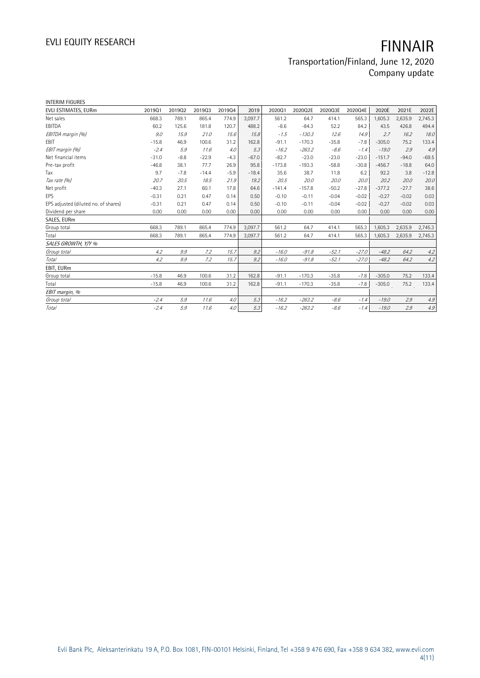| <b>INTERIM FIGURES</b>               |         |        |         |        |         |          |          |         |         |          |         |         |
|--------------------------------------|---------|--------|---------|--------|---------|----------|----------|---------|---------|----------|---------|---------|
| EVLI ESTIMATES, EURm                 | 201901  | 201902 | 201903  | 201904 | 2019    | 202001   | 2020Q2E  | 2020Q3E | 2020Q4E | 2020E    | 2021E   | 2022E   |
| Net sales                            | 668.3   | 789.1  | 865.4   | 774.9  | 3,097.7 | 561.2    | 64.7     | 414.1   | 565.3   | 1,605.3  | 2,635.9 | 2,745.3 |
| EBITDA                               | 60.2    | 125.6  | 181.8   | 120.7  | 488.2   | $-8.6$   | $-84.3$  | 52.2    | 84.2    | 43.5     | 426.8   | 494.4   |
| EBITDA margin (%)                    | 9.0     | 15.9   | 21.0    | 15.6   | 15.8    | $-1.5$   | $-130.3$ | 12.6    | 14.9    | 2.7      | 16.2    | 18.0    |
| EBIT                                 | $-15.8$ | 46.9   | 100.6   | 31.2   | 162.8   | $-91.1$  | $-170.3$ | $-35.8$ | $-7.8$  | $-305.0$ | 75.2    | 133.4   |
| EBIT margin (%)                      | $-2.4$  | 5.9    | 11.6    | 4.0    | 5.3     | $-16.2$  | $-263.2$ | $-8.6$  | $-1.4$  | $-19.0$  | 2.9     | 4.9     |
| Net financial items                  | $-31.0$ | $-8.8$ | $-22.9$ | $-4.3$ | $-67.0$ | $-82.7$  | $-23.0$  | $-23.0$ | $-23.0$ | $-151.7$ | $-94.0$ | $-69.5$ |
| Pre-tax profit                       | $-46.8$ | 38.1   | 77.7    | 26.9   | 95.8    | $-173.8$ | $-193.3$ | $-58.8$ | $-30.8$ | $-456.7$ | $-18.8$ | 64.0    |
| Tax                                  | 9.7     | $-7.8$ | $-14.4$ | $-5.9$ | $-18.4$ | 35.6     | 38.7     | 11.8    | 6.2     | 92.2     | 3.8     | $-12.8$ |
| Tax rate (%)                         | 20.7    | 20.5   | 18.5    | 21.9   | 19.2    | 20.5     | 20.0     | 20.0    | 20.0    | 20.2     | 20.0    | 20.0    |
| Net profit                           | $-40.3$ | 27.1   | 60.1    | 17.8   | 64.6    | $-141.4$ | $-157.8$ | $-50.2$ | $-27.8$ | $-377.2$ | $-27.7$ | 38.6    |
| EPS                                  | $-0.31$ | 0.21   | 0.47    | 0.14   | 0.50    | $-0.10$  | $-0.11$  | $-0.04$ | $-0.02$ | $-0.27$  | $-0.02$ | 0.03    |
| EPS adjusted (diluted no. of shares) | $-0.31$ | 0.21   | 0.47    | 0.14   | 0.50    | $-0.10$  | $-0.11$  | $-0.04$ | $-0.02$ | $-0.27$  | $-0.02$ | 0.03    |
| Dividend per share                   | 0.00    | 0.00   | 0.00    | 0.00   | 0.00    | 0.00     | 0.00     | 0.00    | 0.00    | 0.00     | 0.00    | 0.00    |
| SALES, EURm                          |         |        |         |        |         |          |          |         |         |          |         |         |
| Group total                          | 668.3   | 789.1  | 865.4   | 774.9  | 3.097.7 | 561.2    | 64.7     | 414.1   | 565.3   | 1,605.3  | 2,635.9 | 2,745.3 |
| Total                                | 668.3   | 789.1  | 865.4   | 774.9  | 3,097.7 | 561.2    | 64.7     | 414.1   | 565.3   | 1,605.3  | 2,635.9 | 2,745.3 |
| SALES GROWTH, Y/Y %                  |         |        |         |        |         |          |          |         |         |          |         |         |
| Group total                          | 4.2     | 9.9    | 7.2     | 15.7   | 9.2     | $-16.0$  | $-91.8$  | $-52.1$ | $-27.0$ | $-48.2$  | 64.2    | 4.2     |
| <b>Total</b>                         | 4.2     | 9.9    | 7.2     | 15.7   | 9.2     | $-16.0$  | $-91.8$  | $-52.1$ | $-27.0$ | $-48.2$  | 64.2    | 4.2     |
| EBIT, EURm                           |         |        |         |        |         |          |          |         |         |          |         |         |
| Group total                          | $-15.8$ | 46.9   | 100.6   | 31.2   | 162.8   | $-91.1$  | $-170.3$ | $-35.8$ | $-7.8$  | $-305.0$ | 75.2    | 133.4   |
| Total                                | $-15.8$ | 46.9   | 100.6   | 31.2   | 162.8   | $-91.1$  | $-170.3$ | $-35.8$ | $-7.8$  | $-305.0$ | 75.2    | 133.4   |
| EBIT margin, %                       |         |        |         |        |         |          |          |         |         |          |         |         |
| Group total                          | $-2.4$  | 5.9    | 11.6    | 4.0    | 5.3     | $-16.2$  | $-263.2$ | $-8.6$  | $-1.4$  | $-19.0$  | 2.9     | 4.9     |
| Total                                | $-2.4$  | 5.9    | 11.6    | 4.0    | 5.3     | $-16.2$  | $-263.2$ | $-8.6$  | $-1.4$  | $-19.0$  | 2.9     | 4.9     |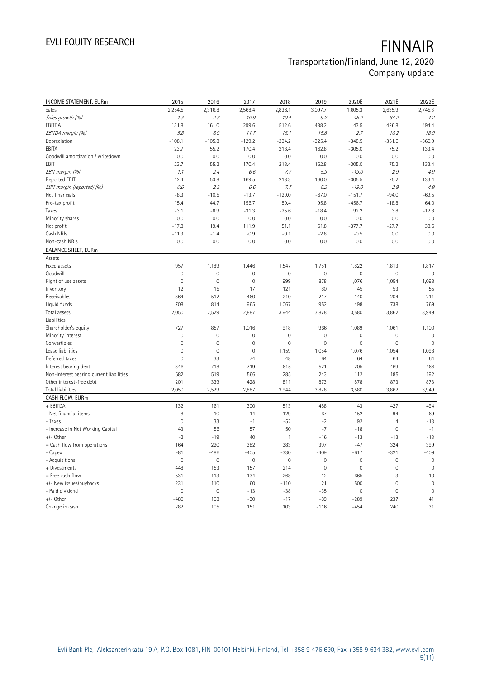# EVLI EQUITY RESEARCH **FINNAIR** Transportation/Finland, June 12, 2020

Company update

| <b>INCOME STATEMENT, EURm</b>            | 2015                | 2016                | 2017        | 2018         | 2019        | 2020E               | 2021E               | 2022E        |
|------------------------------------------|---------------------|---------------------|-------------|--------------|-------------|---------------------|---------------------|--------------|
| Sales                                    | 2,254.5             | 2,316.8             | 2,568.4     | 2,836.1      | 3,097.7     | 1,605.3             | 2,635.9             | 2,745.3      |
| Sales growth (%)                         | $-1.3$              | 2.8                 | 10.9        | 10.4         | 9.2         | $-48.2$             | 64.2                | 4.2          |
| EBITDA                                   | 131.8               | 161.0               | 299.6       | 512.6        | 488.2       | 43.5                | 426.8               | 494.4        |
| EBITDA margin (%)                        | 5.8                 | 6.9                 | 11.7        | 18.1         | 15.8        | 2.7                 | 16.2                | 18.0         |
| Depreciation                             | $-108.1$            | $-105.8$            | $-129.2$    | $-294.2$     | $-325.4$    | $-348.5$            | $-351.6$            | $-360.9$     |
| EBITA                                    | 23.7                | 55.2                | 170.4       | 218.4        | 162.8       | $-305.0$            | 75.2                | 133.4        |
| Goodwill amortization / writedown        | 0.0                 | 0.0                 | 0.0         | 0.0          | 0.0         | 0.0                 | 0.0                 | 0.0          |
| EBIT                                     | 23.7                | 55.2                | 170.4       | 218.4        | 162.8       | $-305.0$            | 75.2                | 133.4        |
| EBIT margin (%)                          | 1.1                 | 2.4                 | 6.6         | 7.7          | 5.3         | $-19.0$             | 2.9                 | 4.9          |
| Reported EBIT                            | 12.4                | 53.8                | 169.5       | 218.3        | 160.0       | $-305.5$            | 75.2                | 133.4        |
| EBIT margin (reported) (%)               | 0.6                 | 2.3                 | 6.6         | 7.7          | 5.2         | $-19.0$             | 2.9                 | 4.9          |
| Net financials                           | $-8.3$              | $-10.5$             | $-13.7$     | $-129.0$     | $-67.0$     | $-151.7$            | $-94.0$             | $-69.5$      |
| Pre-tax profit                           | 15.4                | 44.7                | 156.7       | 89.4         | 95.8        | $-456.7$            | $-18.8$             | 64.0         |
| Taxes                                    | $-3.1$              | $-8.9$              | $-31.3$     | $-25.6$      | $-18.4$     | 92.2                | 3.8                 | $-12.8$      |
| Minority shares                          | 0.0                 | 0.0                 | 0.0         | 0.0          | 0.0         | 0.0                 | 0.0                 | 0.0          |
| Net profit                               | $-17.8$             | 19.4                | 111.9       | 51.1         | 61.8        | $-377.7$            | $-27.7$             | 38.6         |
| Cash NRIs                                | $-11.3$             | $-1.4$              | $-0.9$      | $-0.1$       | $-2.8$      | $-0.5$              | 0.0                 | $0.0\,$      |
| Non-cash NRIs                            | 0.0                 | 0.0                 | 0.0         | 0.0          | 0.0         | 0.0                 | 0.0                 | 0.0          |
| <b>BALANCE SHEET, EURm</b>               |                     |                     |             |              |             |                     |                     |              |
| Assets                                   |                     |                     |             |              |             |                     |                     |              |
| Fixed assets                             | 957                 | 1,189               | 1,446       | 1,547        | 1,751       | 1,822               | 1,813               | 1,817        |
| Goodwill                                 | $\mathsf{O}\xspace$ | $\mathbf 0$         | $\mathbf 0$ | $\mathbf 0$  | $\mathbf 0$ | $\mathsf{O}\xspace$ | $\mathbf 0$         | $\mathbf 0$  |
| Right of use assets                      | $\overline{0}$      | $\mathbf 0$         | $\mathbf 0$ | 999          | 878         | 1,076               | 1,054               | 1,098        |
| Inventory                                | 12                  | 15                  | 17          | 121          | 80          | 45                  | 53                  | 55           |
| Receivables                              | 364                 | 512                 | 460         | 210          | 217         | 140                 | 204                 | 211          |
| Liquid funds                             | 708                 | 814                 | 965         | 1,067        | 952         | 498                 | 738                 | 769          |
| Total assets                             | 2,050               | 2,529               | 2,887       | 3,944        | 3,878       | 3,580               | 3,862               | 3,949        |
| Liabilities                              |                     |                     |             |              |             |                     |                     |              |
| Shareholder's equity                     | 727                 | 857                 | 1,016       | 918          | 966         | 1,089               | 1,061               | 1,100        |
| Minority interest                        | $\mathsf{O}\xspace$ | $\mathbf 0$         | $\mathbf 0$ | $\mathbf 0$  | $\mathbf 0$ | $\mathbf 0$         | $\mathbf 0$         | $\mathbf 0$  |
| Convertibles                             | $\overline{0}$      | $\mathbf 0$         | $\mathbf 0$ | $\mathbf{0}$ | $\mathbf 0$ | $\mathsf{O}\xspace$ | $\mathbf 0$         | $\mathbf 0$  |
| Lease liabilities                        | $\mathsf{O}\xspace$ | $\mathbf 0$         | $\mathbf 0$ | 1,159        | 1,054       | 1,076               | 1,054               | 1,098        |
| Deferred taxes                           | $\overline{0}$      | 33                  | 74          | 48           | 64          | 64                  | 64                  | 64           |
| Interest bearing debt                    | 346                 | 718                 | 719         | 615          | 521         | 205                 | 469                 | 466          |
| Non-interest bearing current liabilities | 682                 | 519                 | 566         | 285          | 243         | 112                 | 185                 | 192          |
| Other interest-free debt                 | 201                 | 339                 | 428         | 811          | 873         | 878                 | 873                 | 873          |
| Total liabilities                        | 2,050               | 2,529               | 2,887       | 3,944        | 3,878       | 3,580               | 3,862               | 3,949        |
| CASH FLOW, EURm                          |                     |                     |             |              |             |                     |                     |              |
| + EBITDA                                 | 132                 | 161                 | 300         | 513          | 488         | 43                  | 427                 | 494          |
| - Net financial items                    | $-8$                | $-10$               | $-14$       | $-129$       | $-67$       | $-152$              | $-94$               | $-69$        |
| - Taxes                                  | $\mathbf 0$         | 33                  | $-1$        | $-52$        | $-2$        | 92                  | $\overline{4}$      | $-13$        |
| - Increase in Net Working Capital        | 43                  | 56                  | 57          | 50           | $-7$        | $-18$               | $\mathbf 0$         | $-1$         |
| $+/-$ Other                              | $-2$                | $-19$               | 40          | $\mathbf{1}$ | $-16$       | $-13$               | $-13$               | $-13$        |
| = Cash flow from operations              | 164                 | 220                 | 382         | 383          | 397         | $-47$               | 324                 | 399          |
| - Capex                                  | $-81$               | $-486$              | $-405$      | $-330$       | $-409$      | $-617$              | $-321$              | $-409$       |
| - Acquisitions                           | $\mathbf 0$         | $\mathsf{O}\xspace$ | $\mathbf 0$ | $\mathbf 0$  | $\mathbf 0$ | $\mathsf{O}\xspace$ | $\mathbf 0$         | $\mathbf 0$  |
| + Divestments                            | 448                 | 153                 | 157         | 214          | $\mathbf 0$ | $\mathbb O$         | $\mathbf 0$         | $\mathbf 0$  |
| = Free cash flow                         | 531                 | $-113$              | 134         | 268          | $-12$       | $-665$              | 3                   | $-10$        |
| +/- New issues/buybacks                  | 231                 | 110                 | 60          | $-110$       | 21          | 500                 | $\mathbf 0$         | $\mathbf 0$  |
| - Paid dividend                          | $\overline{0}$      | $\mathbf 0$         | $-13$       | $-38$        | $-35$       | $\mathbf 0$         | $\mathsf{O}\xspace$ | $\mathbf{0}$ |
| $+/-$ Other                              | $-480$              | 108                 | $-30$       | $-17$        | $-89$       | $-289$              | 237                 | 41           |
| Change in cash                           | 282                 | 105                 | 151         | 103          | $-116$      | $-454$              | 240                 | 31           |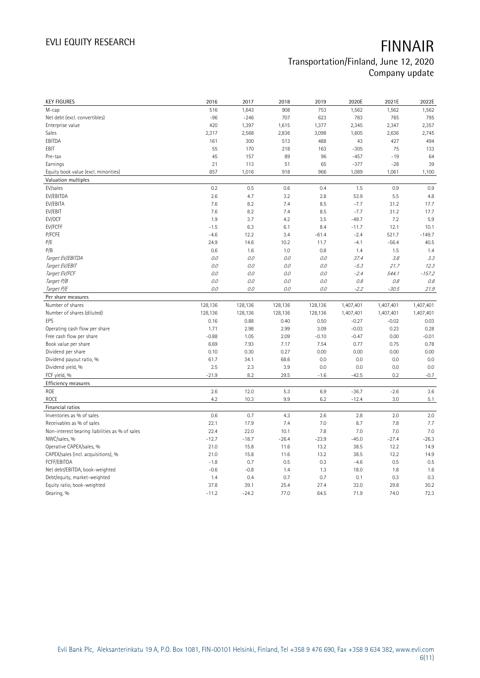| <b>KEY FIGURES</b>                             | 2016            | 2017            | 2018         | 2019         | 2020E        | 2021E        | 2022E        |
|------------------------------------------------|-----------------|-----------------|--------------|--------------|--------------|--------------|--------------|
| M-cap                                          | 516             | 1,643           | 908          | 753          | 1,562        | 1,562        | 1,562        |
| Net debt (excl. convertibles)                  | $-96$           | $-246$          | 707          | 623          | 783          | 785          | 795          |
| Enterprise value                               | 420             | 1,397           | 1,615        | 1,377        | 2,345        | 2,347        | 2,357        |
| Sales                                          | 2,317           | 2,568           | 2,836        | 3,098        | 1,605        | 2,636        | 2,745        |
| EBITDA                                         | 161             | 300             | 513          | 488          | 43           | 427          | 494          |
| EBIT                                           | 55              | 170             | 218          | 163          | $-305$       | 75           | 133          |
| Pre-tax                                        | 45              | 157             | 89           | 96           | $-457$       | $-19$        | 64           |
| Earnings                                       | 21              | 113             | 51           | 65           | $-377$       | $-28$        | 39           |
| Equity book value (excl. minorities)           | 857             | 1,016           | 918          | 966          | 1,089        | 1,061        | 1,100        |
| Valuation multiples                            |                 |                 |              |              |              |              |              |
| EV/sales                                       | 0.2             | 0.5             | 0.6          | 0.4          | 1.5          | 0.9          | 0.9          |
| EV/EBITDA                                      | 2.6             | 4.7             | 3.2          | 2.8          | 53.9         | 5.5          | 4.8          |
| EV/EBITA                                       | 7.6             | 8.2             | 7.4          | 8.5          | $-7.7$       | 31.2         | 17.7         |
| EV/EBIT                                        | 7.6             | 8.2             | 7.4          | 8.5          | $-7.7$       | 31.2         | 17.7         |
| EV/OCF                                         | 1.9             | 3.7             | 4.2          | 3.5          | $-49.7$      | 7.2          | 5.9          |
| EV/FCFF                                        | $-1.5$          | 6.3             | 6.1          | 8.4          | $-11.7$      | 12.1         | 10.1         |
| P/FCFE                                         | $-4.6$          | 12.2            | 3.4          | $-61.4$      | $-2.4$       | 521.7        | $-149.7$     |
| P/E                                            | 24.9            | 14.6            | 10.2         | 11.7         | $-4.1$       | $-56.4$      | 40.5         |
| P/B                                            | 0.6             | 1.6             | 1.0          | 0.8          | 1.4          | 1.5          | 1.4          |
| Target EV/EBITDA                               | 0.0             | 0.0             | 0.0          | O.O          | 37.4         | 3.8          | 3.3          |
| Target EV/EBIT                                 | 0.0             | 0.0             | 0.0          | $O.O$        | $-5.3$       | 21.7         | 12.3         |
| Target EV/FCF                                  | 0.0             | 0.0             | $0.0$        | $O.O$        | $-2.4$       | 544.1        | $-157.2$     |
| Target P/B                                     | 0.0             | 0.0             | 0.0          | 0.0          | 0.8          | 0.8          | 0.8          |
| Target P/E                                     | 0.0             | 0.0             | $O.O$        | 0.0          | $-2.2$       | $-30.5$      | 21.9         |
| Per share measures                             |                 |                 |              |              |              |              |              |
|                                                |                 |                 |              |              |              |              |              |
|                                                |                 |                 |              |              |              |              |              |
| Number of shares                               | 128,136         | 128,136         | 128,136      | 128,136      | 1,407,401    | 1,407,401    | 1,407,401    |
| Number of shares (diluted)                     | 128,136         | 128,136         | 128,136      | 128,136      | 1,407,401    | 1,407,401    | 1,407,401    |
| EPS                                            | 0.16            | 0.88            | 0.40         | 0.50         | $-0.27$      | $-0.02$      | 0.03         |
| Operating cash flow per share                  | 1.71            | 2.98            | 2.99         | 3.09         | $-0.03$      | 0.23         | 0.28         |
| Free cash flow per share                       | $-0.88$         | 1.05            | 2.09         | $-0.10$      | $-0.47$      | 0.00         | $-0.01$      |
| Book value per share                           | 6.69            | 7.93            | 7.17         | 7.54         | 0.77         | 0.75         | 0.78         |
| Dividend per share                             | 0.10            | 0.30            | 0.27         | 0.00         | 0.00         | 0.00         | 0.00         |
| Dividend payout ratio, %                       | 61.7            | 34.1            | 68.6         | 0.0          | 0.0          | 0.0          | 0.0          |
| Dividend yield, %                              | 2.5             | 2.3             | 3.9          | 0.0          | 0.0          | 0.0          | 0.0          |
| FCF yield, %                                   | $-21.9$         | 8.2             | 29.5         | $-1.6$       | $-42.5$      | 0.2          | $-0.7$       |
| Efficiency measures                            |                 |                 |              |              |              |              |              |
| ROE                                            | 2.6             | 12.0            | 5.3          | 6.9          | $-36.7$      | $-2.6$       | 3.6          |
| ROCE                                           | 4.2             | 10.3            | 9.9          | 6.2          | $-12.4$      | 3.0          | 5.1          |
| Financial ratios                               |                 |                 |              |              |              |              |              |
| Inventories as % of sales                      | 0.6             | 0.7             | 4.3          | 2.6          | 2.8          | 2.0          | 2.0          |
| Receivables as % of sales                      | 22.1            | 17.9            | 7.4          | 7.0          | 8.7          | 7.8          | 7.7          |
| Non-interest bearing liabilities as % of sales | 22.4            | 22.0            | 10.1         | 7.8          | 7.0          | 7.0          | 7.0          |
| NWC/sales, %                                   | $-12.7$         | $-18.7$         | $-26.4$      | $-23.9$      | $-45.0$      | $-27.4$      | $-26.3$      |
| Operative CAPEX/sales, %                       | 21.0            | 15.8            | 11.6         | 13.2         | 38.5         | 12.2         | 14.9         |
| CAPEX/sales (incl. acquisitions), %            | 21.0            | 15.8            | 11.6         | 13.2         | 38.5         | 12.2         | 14.9         |
| FCFF/EBITDA                                    | $-1.8$          | 0.7             | 0.5          | 0.3          | $-4.6$       | 0.5          | 0.5          |
| Net debt/EBITDA, book-weighted                 | $-0.6$          | $-0.8$          | 1.4          | 1.3          | 18.0         | 1.8          | 1.6          |
| Debt/equity, market-weighted                   | 1.4             | 0.4             | 0.7          | 0.7          | 0.1          | 0.3          | 0.3          |
| Equity ratio, book-weighted<br>Gearing, %      | 37.8<br>$-11.2$ | 39.1<br>$-24.2$ | 25.4<br>77.0 | 27.4<br>64.5 | 32.0<br>71.9 | 29.8<br>74.0 | 30.2<br>72.3 |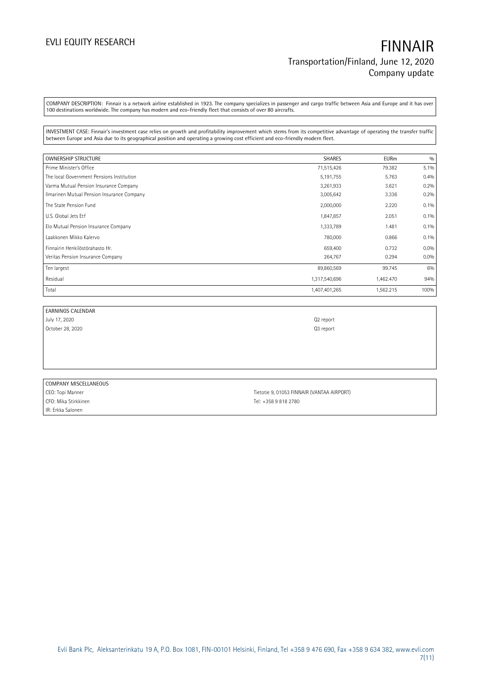COMPANY DESCRIPTION: Finnair is a network airline established in 1923. The company specializes in passenger and cargo traffic between Asia and Europe and it has over 100 destinations worldwide. The company has modern and eco-friendly fleet that consists of over 80 aircrafts.

INVESTMENT CASE: Finnair's investment case relies on growth and profitability improvement which stems from its competitive advantage of operating the transfer traffic between Europe and Asia due to its geographical position and operating a growing cost efficient and eco-friendly modern fleet.

| <b>OWNERSHIP STRUCTURE</b>                 | SHARES        | <b>EURm</b> | 0/0  |
|--------------------------------------------|---------------|-------------|------|
| Prime Minister's Office                    | 71,515,426    | 79.382      | 5.1% |
| The local Government Pensions Institution  | 5,191,755     | 5.763       | 0.4% |
| Varma Mutual Pension Insurance Company     | 3,261,933     | 3.621       | 0.2% |
| Ilmarinen Mutual Pension Insurance Company | 3,005,642     | 3.336       | 0.2% |
| The State Pension Fund                     | 2,000,000     | 2.220       | 0.1% |
| U.S. Global Jets Etf                       | 1,847,857     | 2.051       | 0.1% |
| Elo Mutual Pension Insurance Company       | 1,333,789     | 1.481       | 0.1% |
| Laakkonen Mikko Kalervo                    | 780,000       | 0.866       | 0.1% |
| Finnairin Henkilöstörahasto Hr.            | 659,400       | 0.732       | 0.0% |
| Veritas Pension Insurance Company          | 264,767       | 0.294       | 0.0% |
| Ten largest                                | 89,860,569    | 99.745      | 6%   |
| Residual                                   | 1,317,540,696 | 1,462.470   | 94%  |
| Total                                      | 1,407,401,265 | 1,562.215   | 100% |

| EARNINGS CALENDAR |                       |
|-------------------|-----------------------|
| July 17, 2020     | Q <sub>2</sub> report |
| October 28, 2020  | Q <sub>3</sub> report |
|                   |                       |
|                   |                       |

| COMPANY MISCELLANEOUS |                                            |
|-----------------------|--------------------------------------------|
| CEO: Topi Manner      | Tietotie 9, 01053 FINNAIR (VANTAA AIRPORT) |
| CFO: Mika Stirkkinen  | Tel: +358 9 818 2780                       |
| IIR: Erkka Salonen    |                                            |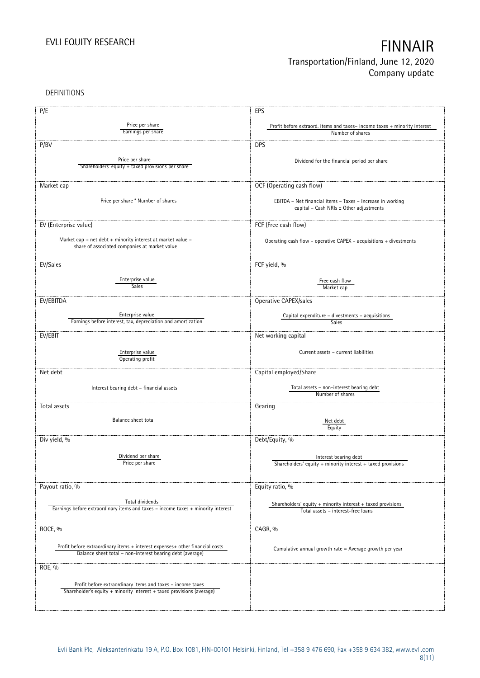DEFINITIONS

| P/E                                                                                                          | EPS                                                                                                   |
|--------------------------------------------------------------------------------------------------------------|-------------------------------------------------------------------------------------------------------|
|                                                                                                              |                                                                                                       |
| Price per share<br>Earnings per share                                                                        | Profit before extraord. items and taxes-income taxes + minority interest<br>Number of shares          |
|                                                                                                              |                                                                                                       |
| P/BV                                                                                                         | <b>DPS</b>                                                                                            |
|                                                                                                              |                                                                                                       |
| Price per share                                                                                              | Dividend for the financial period per share                                                           |
| Shareholders' equity + taxed provisions per share                                                            |                                                                                                       |
|                                                                                                              |                                                                                                       |
| Market cap                                                                                                   | OCF (Operating cash flow)                                                                             |
|                                                                                                              |                                                                                                       |
| Price per share * Number of shares                                                                           | EBITDA - Net financial items - Taxes - Increase in working                                            |
|                                                                                                              | capital - Cash NRIs ± Other adjustments                                                               |
|                                                                                                              |                                                                                                       |
| EV (Enterprise value)                                                                                        | FCF (Free cash flow)                                                                                  |
|                                                                                                              |                                                                                                       |
| Market cap + net debt + minority interest at market value -<br>share of associated companies at market value | Operating cash flow - operative CAPEX - acquisitions + divestments                                    |
|                                                                                                              |                                                                                                       |
|                                                                                                              |                                                                                                       |
| EV/Sales                                                                                                     | FCF yield, %                                                                                          |
| Enterprise value                                                                                             |                                                                                                       |
| <b>Sales</b>                                                                                                 | Free cash flow<br>Market cap                                                                          |
|                                                                                                              |                                                                                                       |
| EV/EBITDA                                                                                                    | Operative CAPEX/sales                                                                                 |
|                                                                                                              |                                                                                                       |
| Enterprise value                                                                                             | Capital expenditure - divestments - acquisitions                                                      |
| Earnings before interest, tax, depreciation and amortization                                                 | Sales                                                                                                 |
| EV/EBIT                                                                                                      | Net working capital                                                                                   |
|                                                                                                              |                                                                                                       |
| Enterprise value                                                                                             | Current assets - current liabilities                                                                  |
| Operating profit                                                                                             |                                                                                                       |
|                                                                                                              |                                                                                                       |
| Net debt                                                                                                     | Capital employed/Share                                                                                |
|                                                                                                              |                                                                                                       |
| Interest bearing debt - financial assets                                                                     | Total assets - non-interest bearing debt<br>Number of shares                                          |
|                                                                                                              |                                                                                                       |
| Total assets                                                                                                 | Gearing                                                                                               |
| Balance sheet total                                                                                          |                                                                                                       |
|                                                                                                              | Net debt<br>Equity                                                                                    |
|                                                                                                              |                                                                                                       |
| Div yield, %                                                                                                 | Debt/Equity, %                                                                                        |
|                                                                                                              |                                                                                                       |
| Dividend per share                                                                                           | Interest bearing debt                                                                                 |
| Price per share                                                                                              | Shareholders' equity $+$ minority interest $+$ taxed provisions                                       |
|                                                                                                              |                                                                                                       |
| Payout ratio, %                                                                                              | Equity ratio, %                                                                                       |
|                                                                                                              |                                                                                                       |
| Total dividends                                                                                              |                                                                                                       |
| Earnings before extraordinary items and taxes - income taxes + minority interest                             | Shareholders' equity $+$ minority interest $+$ taxed provisions<br>Total assets - interest-free loans |
|                                                                                                              |                                                                                                       |
|                                                                                                              |                                                                                                       |
| ROCE, %                                                                                                      | CAGR, %                                                                                               |
|                                                                                                              |                                                                                                       |
| Profit before extraordinary items + interest expenses+ other financial costs                                 | Cumulative annual growth rate = Average growth per year                                               |
| Balance sheet total - non-interest bearing debt (average)                                                    |                                                                                                       |
| ROE, %                                                                                                       |                                                                                                       |
|                                                                                                              |                                                                                                       |
| Profit before extraordinary items and taxes - income taxes                                                   |                                                                                                       |
| Shareholder's equity + minority interest + taxed provisions (average)                                        |                                                                                                       |
|                                                                                                              |                                                                                                       |
|                                                                                                              |                                                                                                       |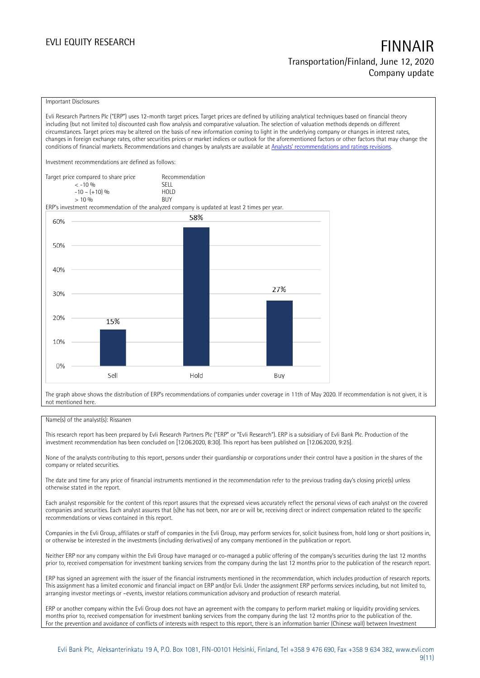### Important Disclosures

Evli Research Partners Plc ("ERP") uses 12-month target prices. Target prices are defined by utilizing analytical techniques based on financial theory including (but not limited to) discounted cash flow analysis and comparative valuation. The selection of valuation methods depends on different circumstances. Target prices may be altered on the basis of new information coming to light in the underlying company or changes in interest rates, changes in foreign exchange rates, other securities prices or market indices or outlook for the aforementioned factors or other factors that may change the conditions of financial markets. Recommendations and changes by analysts are available at [Analysts' recommendations and ratings revisions](https://research.evli.com/JasperAllModels.action?authParam=key;461&authParam=x;G3rNagWrtf7K&authType=3).

Investment recommendations are defined as follows:

Target price compared to share price Recommendation < -10 % SELL  $-10 - (+10) \%$  HOL<br>  $> 10 \%$  BUY  $> 10\%$ 

ERP's investment recommendation of the analyzed company is updated at least 2 times per year.



The graph above shows the distribution of ERP's recommendations of companies under coverage in 11th of May 2020. If recommendation is not given, it is not mentioned here.

### Name(s) of the analyst(s): Rissanen

This research report has been prepared by Evli Research Partners Plc ("ERP" or "Evli Research"). ERP is a subsidiary of Evli Bank Plc. Production of the investment recommendation has been concluded on [12.06.2020, 8:30]. This report has been published on [12.06.2020, 9:25].

None of the analysts contributing to this report, persons under their guardianship or corporations under their control have a position in the shares of the company or related securities.

The date and time for any price of financial instruments mentioned in the recommendation refer to the previous trading day's closing price(s) unless otherwise stated in the report.

Each analyst responsible for the content of this report assures that the expressed views accurately reflect the personal views of each analyst on the covered companies and securities. Each analyst assures that (s)he has not been, nor are or will be, receiving direct or indirect compensation related to the specific recommendations or views contained in this report.

Companies in the Evli Group, affiliates or staff of companies in the Evli Group, may perform services for, solicit business from, hold long or short positions in, or otherwise be interested in the investments (including derivatives) of any company mentioned in the publication or report.

Neither ERP nor any company within the Evli Group have managed or co-managed a public offering of the company's securities during the last 12 months prior to, received compensation for investment banking services from the company during the last 12 months prior to the publication of the research report.

ERP has signed an agreement with the issuer of the financial instruments mentioned in the recommendation, which includes production of research reports. This assignment has a limited economic and financial impact on ERP and/or Evli. Under the assignment ERP performs services including, but not limited to, arranging investor meetings or –events, investor relations communication advisory and production of research material.

ERP or another company within the Evli Group does not have an agreement with the company to perform market making or liquidity providing services. months prior to, received compensation for investment banking services from the company during the last 12 months prior to the publication of the. For the prevention and avoidance of conflicts of interests with respect to this report, there is an information barrier (Chinese wall) between Investment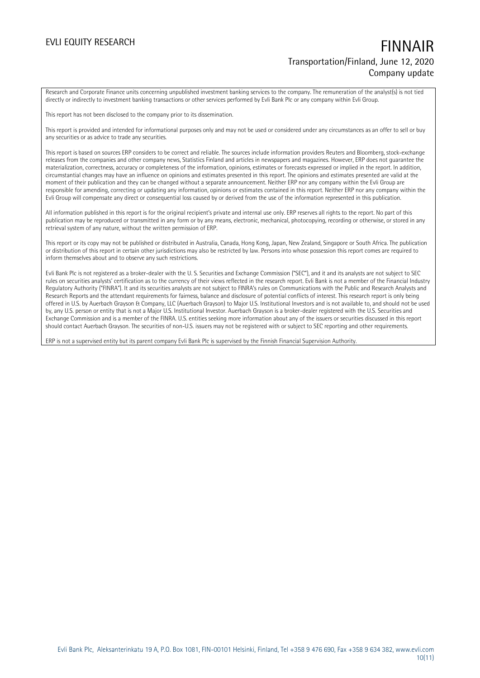Research and Corporate Finance units concerning unpublished investment banking services to the company. The remuneration of the analyst(s) is not tied directly or indirectly to investment banking transactions or other services performed by Evli Bank Plc or any company within Evli Group.

This report has not been disclosed to the company prior to its dissemination.

This report is provided and intended for informational purposes only and may not be used or considered under any circumstances as an offer to sell or buy any securities or as advice to trade any securities.

This report is based on sources ERP considers to be correct and reliable. The sources include information providers Reuters and Bloomberg, stock-exchange releases from the companies and other company news, Statistics Finland and articles in newspapers and magazines. However, ERP does not guarantee the materialization, correctness, accuracy or completeness of the information, opinions, estimates or forecasts expressed or implied in the report. In addition, circumstantial changes may have an influence on opinions and estimates presented in this report. The opinions and estimates presented are valid at the moment of their publication and they can be changed without a separate announcement. Neither ERP nor any company within the Evli Group are responsible for amending, correcting or updating any information, opinions or estimates contained in this report. Neither ERP nor any company within the Evli Group will compensate any direct or consequential loss caused by or derived from the use of the information represented in this publication.

All information published in this report is for the original recipient's private and internal use only. ERP reserves all rights to the report. No part of this publication may be reproduced or transmitted in any form or by any means, electronic, mechanical, photocopying, recording or otherwise, or stored in any retrieval system of any nature, without the written permission of ERP.

This report or its copy may not be published or distributed in Australia, Canada, Hong Kong, Japan, New Zealand, Singapore or South Africa. The publication or distribution of this report in certain other jurisdictions may also be restricted by law. Persons into whose possession this report comes are required to inform themselves about and to observe any such restrictions.

Evli Bank Plc is not registered as a broker-dealer with the U. S. Securities and Exchange Commission ("SEC"), and it and its analysts are not subject to SEC rules on securities analysts' certification as to the currency of their views reflected in the research report. Evli Bank is not a member of the Financial Industry Regulatory Authority ("FINRA"). It and its securities analysts are not subject to FINRA's rules on Communications with the Public and Research Analysts and Research Reports and the attendant requirements for fairness, balance and disclosure of potential conflicts of interest. This research report is only being offered in U.S. by Auerbach Grayson & Company, LLC (Auerbach Grayson) to Major U.S. Institutional Investors and is not available to, and should not be used by, any U.S. person or entity that is not a Major U.S. Institutional Investor. Auerbach Grayson is a broker-dealer registered with the U.S. Securities and Exchange Commission and is a member of the FINRA. U.S. entities seeking more information about any of the issuers or securities discussed in this report should contact Auerbach Grayson. The securities of non-U.S. issuers may not be registered with or subject to SEC reporting and other requirements.

ERP is not a supervised entity but its parent company Evli Bank Plc is supervised by the Finnish Financial Supervision Authority.